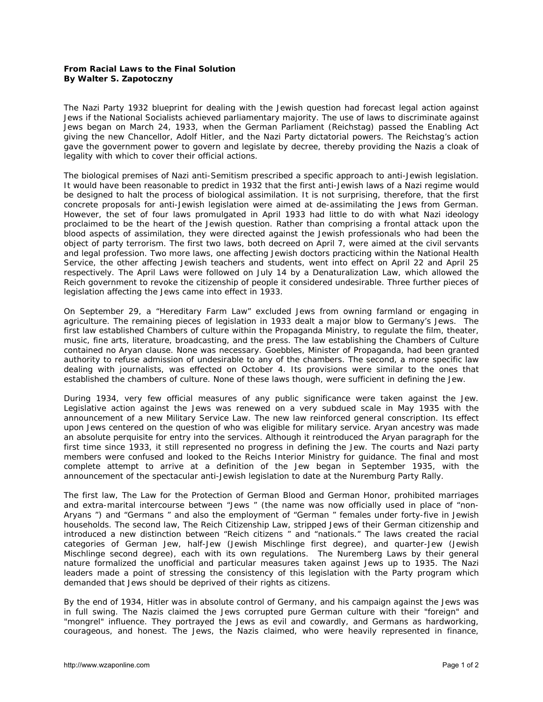## **From Racial Laws to the Final Solution By Walter S. Zapotoczny**

The Nazi Party 1932 blueprint for dealing with the Jewish question had forecast legal action against Jews if the National Socialists achieved parliamentary majority. The use of laws to discriminate against Jews began on March 24, 1933, when the German Parliament (Reichstag) passed the Enabling Act giving the new Chancellor, Adolf Hitler, and the Nazi Party dictatorial powers. The Reichstag's action gave the government power to govern and legislate by decree, thereby providing the Nazis a cloak of legality with which to cover their official actions.

The biological premises of Nazi anti-Semitism prescribed a specific approach to anti-Jewish legislation. It would have been reasonable to predict in 1932 that the first anti-Jewish laws of a Nazi regime would be designed to halt the process of biological assimilation. It is not surprising, therefore, that the first concrete proposals for anti-Jewish legislation were aimed at de-assimilating the Jews from German. However, the set of four laws promulgated in April 1933 had little to do with what Nazi ideology proclaimed to be the heart of the Jewish question. Rather than comprising a frontal attack upon the blood aspects of assimilation, they were directed against the Jewish professionals who had been the object of party terrorism. The first two laws, both decreed on April 7, were aimed at the civil servants and legal profession. Two more laws, one affecting Jewish doctors practicing within the National Health Service, the other affecting Jewish teachers and students, went into effect on April 22 and April 25 respectively. The April Laws were followed on July 14 by a Denaturalization Law, which allowed the Reich government to revoke the citizenship of people it considered undesirable. Three further pieces of legislation affecting the Jews came into effect in 1933.

On September 29, a "Hereditary Farm Law" excluded Jews from owning farmland or engaging in agriculture. The remaining pieces of legislation in 1933 dealt a major blow to Germany's Jews. The first law established Chambers of culture within the Propaganda Ministry, to regulate the film, theater, music, fine arts, literature, broadcasting, and the press. The law establishing the Chambers of Culture contained no Aryan clause. None was necessary. Goebbles, Minister of Propaganda, had been granted authority to refuse admission of undesirable to any of the chambers. The second, a more specific law dealing with journalists, was effected on October 4. Its provisions were similar to the ones that established the chambers of culture. None of these laws though, were sufficient in defining the Jew.

During 1934, very few official measures of any public significance were taken against the Jew. Legislative action against the Jews was renewed on a very subdued scale in May 1935 with the announcement of a new Military Service Law. The new law reinforced general conscription. Its effect upon Jews centered on the question of who was eligible for military service. Aryan ancestry was made an absolute perquisite for entry into the services. Although it reintroduced the Aryan paragraph for the first time since 1933, it still represented no progress in defining the Jew. The courts and Nazi party members were confused and looked to the Reichs Interior Ministry for guidance. The final and most complete attempt to arrive at a definition of the Jew began in September 1935, with the announcement of the spectacular anti-Jewish legislation to date at the Nuremburg Party Rally.

The first law, The Law for the Protection of German Blood and German Honor, prohibited marriages and extra-marital intercourse between "Jews " (the name was now officially used in place of "non-Aryans ") and "Germans " and also the employment of "German " females under forty-five in Jewish households. The second law, The Reich Citizenship Law, stripped Jews of their German citizenship and introduced a new distinction between "Reich citizens " and "nationals." The laws created the racial categories of German Jew, half-Jew (Jewish *Mischlinge* first degree), and quarter-Jew (Jewish *Mischlinge* second degree), each with its own regulations. The Nuremberg Laws by their general nature formalized the unofficial and particular measures taken against Jews up to 1935. The Nazi leaders made a point of stressing the consistency of this legislation with the Party program which demanded that Jews should be deprived of their rights as citizens.

By the end of 1934, Hitler was in absolute control of Germany, and his campaign against the Jews was in full swing. The Nazis claimed the Jews corrupted pure German culture with their "foreign" and "mongrel" influence. They portrayed the Jews as evil and cowardly, and Germans as hardworking, courageous, and honest. The Jews, the Nazis claimed, who were heavily represented in finance,